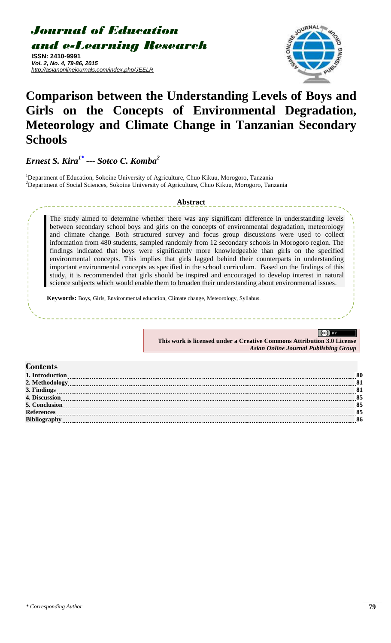*Journal of Education and e-Learning Research*

**ISSN: 2410-9991** *Vol. 2, No. 4, 79-86, 2015 http://asianonlinejournals.com/index.php/JEELR*



# **Comparison between the Understanding Levels of Boys and Girls on the Concepts of Environmental Degradation, Meteorology and Climate Change in Tanzanian Secondary Schools**

*Ernest S. Kira[1\\*](#page-0-0) --- Sotco C. Komba<sup>2</sup>*

<sup>1</sup>Department of Education, Sokoine University of Agriculture, Chuo Kikuu, Morogoro, Tanzania <sup>2</sup>Department of Social Sciences, Sokoine University of Agriculture, Chuo Kikuu, Morogoro, Tanzania

# **Abstract**

The study aimed to determine whether there was any significant difference in understanding levels between secondary school boys and girls on the concepts of environmental degradation, meteorology and climate change. Both structured survey and focus group discussions were used to collect information from 480 students, sampled randomly from 12 secondary schools in Morogoro region. The findings indicated that boys were significantly more knowledgeable than girls on the specified environmental concepts. This implies that girls lagged behind their counterparts in understanding important environmental concepts as specified in the school curriculum. Based on the findings of this study, it is recommended that girls should be inspired and encouraged to develop interest in natural science subjects which would enable them to broaden their understanding about environmental issues.

**Keywords:** Boys, Girls, Environmental education, Climate change, Meteorology, Syllabus.

 $(cc)$ **This work is licensed under a [Creative Commons Attribution 3.0 License](http://creativecommons.org/licenses/by/3.0/)** *Asian Online Journal Publishing Group*

#### <span id="page-0-0"></span>**Contents [1. Introduction](#page-1-0) [2. Methodology](#page-2-0) 81 [3. Findings](#page-2-1) 81 [4. Discussion](#page-6-0) 85 [5. Conclusion](#page-6-1) 85 [References](#page-6-2) 85 [Bibliography](#page-7-0) 86**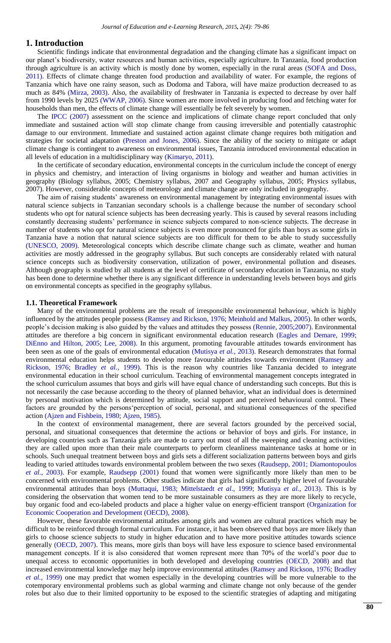# <span id="page-1-0"></span>**1. Introduction**

Scientific findings indicate that environmental degradation and the changing climate has a significant impact on our planet's biodiversity, water resources and human activities, especially agriculture. In Tanzania, food production through agriculture is an activity which is mostly done by women, especially in the rural areas [\(SOFA and Doss,](#page-7-1)  [2011\)](#page-7-1). Effects of climate change threaten food production and availability of water. For example, the regions of Tanzania which have one rainy season, such as Dodoma and Tabora, will have maize production decreased to as much as 84% [\(Mirza, 2003\)](#page-7-2). Also, the availability of freshwater in Tanzania is expected to decrease by over half from 1990 levels by 2025 [\(WWAP, 2006\)](#page-7-3). Since women are more involved in producing food and fetching water for households than men, the effects of climate change will essentially be felt severely by women.

The [IPCC \(2007\)](#page-7-4) assessment on the science and implications of climate change report concluded that only immediate and sustained action will stop climate change from causing irreversible and potentially catastrophic damage to our environment. Immediate and sustained action against climate change requires both mitigation and strategies for societal adaptation [\(Preston and Jones, 2006\)](#page-7-5). Since the ability of the society to mitigate or adapt climate change is contingent to awareness on environmental issues, Tanzania introduced environmental education in all levels of education in a multidisciplinary way [\(Kimaryo, 2011\)](#page-7-6).

In the certificate of secondary education, environmental concepts in the curriculum include the concept of energy in physics and chemistry, and interaction of living organisms in biology and weather and human activities in geography (Biology syllabus, 2005; Chemistry syllabus, 2007 and Geography syllabus, 2005; Physics syllabus, 2007). However, considerable concepts of meteorology and climate change are only included in geography.

The aim of raising students' awareness on environmental management by integrating environmental issues with natural science subjects in Tanzanian secondary schools is a challenge because the number of secondary school students who opt for natural science subjects has been decreasing yearly. This is caused by several reasons including constantly decreasing students" performance in science subjects compared to non-science subjects. The decrease in number of students who opt for natural science subjects is even more pronounced for girls than boys as some girls in Tanzania have a notion that natural science subjects are too difficult for them to be able to study successfully [\(UNESCO, 2009\)](#page-7-7). Meteorological concepts which describe climate change such as climate, weather and human activities are mostly addressed in the geography syllabus. But such concepts are considerably related with natural science concepts such as biodiversity conservation, utilization of power, environmental pollution and diseases. Although geography is studied by all students at the level of certificate of secondary education in Tanzania, no study has been done to determine whether there is any significant difference in understanding levels between boys and girls on environmental concepts as specified in the geography syllabus.

#### **1.1. Theoretical Framework**

Many of the environmental problems are the result of irresponsible environmental behaviour, which is highly influenced by the attitudes people possess [\(Ramsey and Rickson, 1976;](#page-7-8) [Meinhold and Malkus, 2005\)](#page-7-9). In other words, people"s decision making is also guided by the values and attitudes they possess [\(Rennie, 2005;2007\)](#page-7-10). Environmental attitudes are therefore a big concern in significant environmental education research [\(Eagles and Demare, 1999;](#page-7-11) [DiEnno and Hilton, 2005;](#page-7-12) [Lee, 2008\)](#page-7-13). In this argument, promoting favourable attitudes towards environment has been seen as one of the goals of environmental education [\(Mutisya](#page-7-14) *et al.*, 2013). Research demonstrates that formal environmental education helps students to develop more favourable attitudes towards environment [\(Ramsey and](#page-7-8)  [Rickson, 1976;](#page-7-8) [Bradley](#page-7-15) *et al.*, 1999). This is the reason why countries like Tanzania decided to integrate environmental education in their school curriculum. Teaching of environmental management concepts integrated in the school curriculum assumes that boys and girls will have equal chance of understanding such concepts. But this is not necessarily the case because according to the theory of planned behavior, what an individual does is determined by personal motivation which is determined by attitude, social support and perceived behavioural control. These factors are grounded by the persons"perception of social, personal, and situational consequences of the specified action [\(Ajzen and Fishbein, 1980;](#page-6-3) [Ajzen, 1985\)](#page-6-4).

In the context of environmental management, there are several factors grounded by the perceived social, personal, and situational consequences that determine the actions or behavior of boys and girls. For instance, in developing countries such as Tanzania girls are made to carry out most of all the sweeping and cleaning activities; they are called upon more than their male counterparts to perform cleanliness maintenance tasks at home or in schools. Such unequal treatment between boys and girls sets a different socialization patterns between boys and girls leading to varied attitudes towards environmental problem between the two sexes [\(Raudsepp, 2001;](#page-7-16) [Diamontopoulos](#page-7-17) *et al.*[, 2003\)](#page-7-17). For example, [Raudsepp \(2001\)](#page-7-16) found that women were significantly more likely than men to be concerned with environmental problems. Other studies indicate that girls had significantly higher level of favourable environmental attitudes than boys [\(Muttaqui, 1983;](#page-7-18) [Mittelstaedt](#page-7-19) *et al.*, 1999; [Mutisya](#page-7-14) *et al.*, 2013). This is by considering the observation that women tend to be more sustainable consumers as they are more likely to recycle, buy organic food and eco-labeled products and place a higher value on energy-efficient transport [\(Organization for](#page-7-20)  [Economic Cooperation and Development \(OECD\), 2008\)](#page-7-20).

However, these favorable environmental attitudes among girls and women are cultural practices which may be difficult to be reinforced through formal curriculum. For instance, it has been observed that boys are more likely than girls to choose science subjects to study in higher education and to have more positive attitudes towards science generally [\(OECD, 2007\)](#page-7-21). This means, more girls than boys will have less exposure to science based environmental management concepts. If it is also considered that women represent more than 70% of the world"s poor due to unequal access to economic opportunities in both developed and developing countries (OECD, 2008) and that increased environmental knowledge may help improve environmental attitudes [\(Ramsey and Rickson, 1976;](#page-7-8) [Bradley](#page-7-15) *et al.*[, 1999\)](#page-7-15) one may predict that women especially in the developing countries will be more vulnerable to the cotemporary environmental problems such as global warming and climate change not only because of the gender roles but also due to their limited opportunity to be exposed to the scientific strategies of adapting and mitigating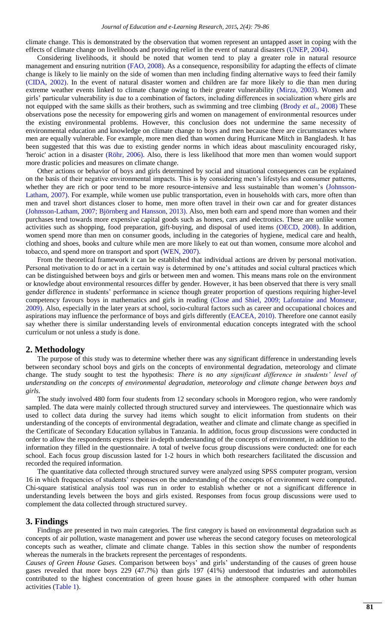climate change. This is demonstrated by the observation that women represent an untapped asset in coping with the effects of climate change on livelihoods and providing relief in the event of natural disasters [\(UNEP, 2004\)](#page-7-22).

Considering livelihoods, it should be noted that women tend to play a greater role in natural resource management and ensuring nutrition [\(FAO, 2008\)](#page-7-23). As a consequence, responsibility for adapting the effects of climate change is likely to lie mainly on the side of women than men including finding alternative ways to feed their family [\(CIDA, 2002\)](#page-7-24). In the event of natural disaster women and children are far more likely to die than men during extreme weather events linked to climate change owing to their greater vulnerability [\(Mirza, 2003\)](#page-7-2). Women and girls" particular vulnerability is due to a combination of factors, including differences in socialization where girls are not equipped with the same skills as their brothers, such as swimming and tree climbing (Brody *et al.*[, 2008\)](#page-7-25) These observations pose the necessity for empowering girls and women on management of environmental resources under the existing environmental problems. However, this conclusion does not undermine the same necessity of environmental education and knowledge on climate change to boys and men because there are circumstances where men are equally vulnerable. For example, more men died than women during Hurricane Mitch in Bangladesh. It has been suggested that this was due to existing gender norms in which ideas about masculinity encouraged risky, 'heroic' action in a disaster [\(Röhr, 2006\)](#page-7-26). Also, there is less likelihood that more men than women would support more drastic policies and measures on climate change.

Other actions or behavior of boys and girls determined by social and situational consequences can be explained on the basis of their negative environmental impacts. This is by considering men"s lifestyles and consumer patterns, whether they are rich or poor tend to be more resource-intensive and less sustainable than women's [\(Johnsson-](#page-7-27)[Latham, 2007\)](#page-7-27). For example, while women use public transportation, even in households with cars, more often than men and travel short distances closer to home, men more often travel in their own car and for greater distances [\(Johnsson-Latham, 2007;](#page-7-27) [Björnberg and Hansson, 2013\)](#page-7-28). Also, men both earn and spend more than women and their purchases tend towards more expensive capital goods such as homes, cars and electronics. These are unlike women activities such as shopping, food preparation, gift-buying, and disposal of used items (OECD, 2008). In addition, women spend more than men on consumer goods, including in the categories of hygiene, medical care and health, clothing and shoes, books and culture while men are more likely to eat out than women, consume more alcohol and tobacco, and spend more on transport and sport [\(WEN, 2007\)](#page-7-29).

From the theoretical framework it can be established that individual actions are driven by personal motivation. Personal motivation to do or act in a certain way is determined by one"s attitudes and social cultural practices which can be distinguished between boys and girls or between men and women. This means mans role on the environment or knowledge about environmental resources differ by gender. However, it has been observed that there is very small gender difference in students' performance in science though greater proportion of questions requiring higher-level competency favours boys in mathematics and girls in reading [\(Close and Shiel, 2009;](#page-7-30) [Lafontaine and Monseur,](#page-7-31)  [2009\)](#page-7-31). Also, especially in the later years at school, socio-cultural factors such as career and occupational choices and aspirations may influence the performance of boys and girls differently [\(EACEA, 2010\)](#page-7-32). Therefore one cannot easily say whether there is similar understanding levels of environmental education concepts integrated with the school curriculum or not unless a study is done.

# <span id="page-2-0"></span>**2. Methodology**

The purpose of this study was to determine whether there was any significant difference in understanding levels between secondary school boys and girls on the concepts of environmental degradation, meteorology and climate change. The study sought to test the hypothesis: *There is no any significant difference in students' level of understanding on the concepts of environmental degradation, meteorology and climate change between boys and girls.*

The study involved 480 form four students from 12 secondary schools in Morogoro region, who were randomly sampled. The data were mainly collected through structured survey and interviewees. The questionnaire which was used to collect data during the survey had items which sought to elicit information from students on their understanding of the concepts of environmental degradation, weather and climate and climate change as specified in the Certificate of Secondary Education syllabus in Tanzania. In addition, focus group discussions were conducted in order to allow the respondents express their in-depth understanding of the concepts of environment, in addition to the information they filled in the questionnaire. A total of twelve focus group discussions were conducted: one for each school. Each focus group discussion lasted for 1-2 hours in which both researchers facilitated the discussion and recorded the required information.

The quantitative data collected through structured survey were analyzed using SPSS computer program, version 16 in which frequencies of students' responses on the understanding of the concepts of environment were computed. Chi-square statistical analysis tool was run in order to establish whether or not a significant difference in understanding levels between the boys and girls existed. Responses from focus group discussions were used to complement the data collected through structured survey.

#### <span id="page-2-1"></span>**3. Findings**

Findings are presented in two main categories. The first category is based on environmental degradation such as concepts of air pollution, waste management and power use whereas the second category focuses on meteorological concepts such as weather, climate and climate change. Tables in this section show the number of respondents whereas the numerals in the brackets represent the percentages of respondents.

*Causes of Green House Gases.* Comparison between boys" and girls" understanding of the causes of green house gases revealed that more boys 229 (47.7%) than girls 197 (41%) understood that industries and automobiles contributed to the highest concentration of green house gases in the atmosphere compared with other human activities [\(Table 1\)](#page-3-0).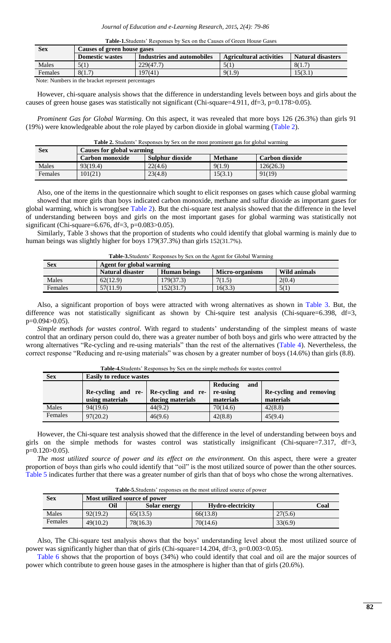<span id="page-3-0"></span>

| <b>Sex</b> | Causes of green house gases |                            |                                |                   |  |  |
|------------|-----------------------------|----------------------------|--------------------------------|-------------------|--|--|
|            | <b>Domestic wastes</b>      | Industries and automobiles | <b>Agricultural activities</b> | Natural disasters |  |  |
| Males      | 5(1)                        | 229(47.7)                  | 5(1                            | 8(1.7)            |  |  |
| Females    | 8(1.7)                      | 197(41)                    | 9(1.9)                         | 15(3.1)           |  |  |
|            |                             |                            |                                |                   |  |  |

Note: Numbers in the bracket represent percentages

However, chi-square analysis shows that the difference in understanding levels between boys and girls about the causes of green house gases was statistically not significant (Chi-square=4.911, df=3, p=0.178>0.05).

*Prominent Gas for Global Warming.* On this aspect, it was revealed that more boys 126 (26.3%) than girls 91 (19%) were knowledgeable about the role played by carbon dioxide in global warming [\(Table 2\)](#page-3-1).

<span id="page-3-1"></span>Table 2. Students' Responses by Sex on the most prominent gas for global warming

| <b>Sex</b>     | <b>Causes for global warming</b> |                 |                |                |  |
|----------------|----------------------------------|-----------------|----------------|----------------|--|
|                | Carbon monoxide                  | Sulphur dioxide | <b>Methane</b> | Carbon dioxide |  |
| Males          | 93(19.4)                         | 22(4.6)         | 9(1.9)         | 126(26.3)      |  |
| <b>Females</b> | 101(21)                          | 23(4.8)         | 15(3.1)        | 91(19)         |  |

Also, one of the items in the questionnaire which sought to elicit responses on gases which cause global warming showed that more girls than boys indicated carbon monoxide, methane and sulfur dioxide as important gases for global warming, which is wrong(see [Table 2\)](#page-3-1). But the chi-square test analysis showed that the difference in the level of understanding between boys and girls on the most important gases for global warming was statistically not significant (Chi-square=6.676, df=3, p=0.083>0.05).

Similarly, Table 3 shows that the proportion of students who could identify that global warming is mainly due to human beings was slightly higher for boys 179(37.3%) than girls 152(31.7%).

| <b>THEIR SECRETION INCORPORATE THE RESIDENT OF STOCKE WITHING</b> |                          |              |                 |              |  |
|-------------------------------------------------------------------|--------------------------|--------------|-----------------|--------------|--|
| <b>Sex</b>                                                        | Agent for global warming |              |                 |              |  |
|                                                                   | Natural disaster         | Human beings | Micro-organisms | Wild animals |  |
| Males                                                             | 62(12.9)                 | 179(37.3)    | 7(1.5)          | 2(0.4)       |  |
| Females                                                           | 57(11.9)                 | 152(31.7)    | 16(3.3)         | 5(1)         |  |

<span id="page-3-2"></span>**Table-3.**Students" Responses by Sex on the Agent for Global Warming

Also, a significant proportion of boys were attracted with wrong alternatives as shown in [Table 3.](#page-3-2) But, the difference was not statistically significant as shown by Chi-squire test analysis (Chi-square=6.398, df=3, p=0.094>0.05).

Simple methods for wastes control. With regard to students' understanding of the simplest means of waste control that an ordinary person could do, there was a greater number of both boys and girls who were attracted by the wrong alternatives "Re-cycling and re-using materials" than the rest of the alternatives [\(Table 4\)](#page-3-3). Nevertheless, the correct response "Reducing and re-using materials" was chosen by a greater number of boys (14.6%) than girls (8.8).

| <b>Sex</b> | <b>Easily to reduce wastes</b> |                    |                 |                         |  |  |
|------------|--------------------------------|--------------------|-----------------|-------------------------|--|--|
|            |                                |                    | Reducing<br>and |                         |  |  |
|            | Re-cycling and re-             | Re-cycling and re- | re-using        | Re-cycling and removing |  |  |
|            | using materials                | ducing materials   | materials       | materials               |  |  |
| Males      | 94(19.6)                       | 44(9.2)            | 70(14.6)        | 42(8.8)                 |  |  |
| Females    | 97(20.2)                       | 46(9.6)            | 42(8.8)         | 45(9.4)                 |  |  |

<span id="page-3-3"></span>**Table-4.**Students" Responses by Sex on the simple methods for wastes control

However, the Chi-square test analysis showed that the difference in the level of understanding between boys and girls on the simple methods for wastes control was statistically insignificant (Chi-square=7.317, df=3, p=0.120>0.05).

*The most utilized source of power and its effect on the environment.* On this aspect, there were a greater proportion of boys than girls who could identify that "oil" is the most utilized source of power than the other sources. [Table 5](#page-3-4) indicates further that there was a greater number of girls than that of boys who chose the wrong alternatives.

<span id="page-3-4"></span>Table-5. Students' responses on the most utilized source of power

| <b>Sex</b> | Most utilized source of power |                     |                   |         |  |  |
|------------|-------------------------------|---------------------|-------------------|---------|--|--|
|            | Oil                           | <b>Solar energy</b> | Hydro-electricity | Coal    |  |  |
| Males      | 92(19.2)                      | 65(13.5)            | 66(13.8)          | 27(5.6) |  |  |
| Females    | 49(10.2)                      | 78(16.3)            | 70(14.6)          | 33(6.9) |  |  |

Also, The Chi-square test analysis shows that the boys" understanding level about the most utilized source of power was significantly higher than that of girls (Chi-square=14.204, df=3, p=0.003<0.05).

[Table 6](#page-4-0) shows that the proportion of boys (34%) who could identify that coal and oil are the major sources of power which contribute to green house gases in the atmosphere is higher than that of girls (20.6%).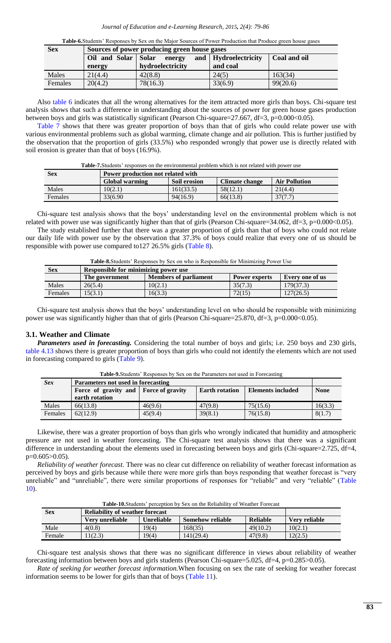<span id="page-4-0"></span>

|     | <b>Table-6.</b> Students' Responses by Sex on the Major Sources of Power Production that Produce green house gases |
|-----|--------------------------------------------------------------------------------------------------------------------|
| Sex | Sources of power producing green house gases                                                                       |

| Sex     | Sources of power producing green house gases |                  |                        |              |  |
|---------|----------------------------------------------|------------------|------------------------|--------------|--|
|         | Oil and Solar Solar                          | energy           | and   Hydroelectricity | Coal and oil |  |
|         | energy                                       | hydroelectricity | and coal               |              |  |
| Males   | 21(4.4)                                      | 42(8.8)          | 24(5)                  | 163(34)      |  |
| Females | 20(4.2)                                      | 78(16.3)         | 33(6.9)                | 99(20.6)     |  |

Also [table 6](#page-4-0) indicates that all the wrong alternatives for the item attracted more girls than boys. Chi-square test analysis shows that such a difference in understanding about the sources of power for green house gases production between boys and girls was statistically significant (Pearson Chi-square=27.667, df=3, p=0.000<0.05).

[Table 7](#page-4-1) shows that there was greater proportion of boys than that of girls who could relate power use with various environmental problems such as global warming, climate change and air pollution. This is further justified by the observation that the proportion of girls (33.5%) who responded wrongly that power use is directly related with soil erosion is greater than that of boys (16.9%).

<span id="page-4-1"></span>

| <b>Table-7.</b> Students' responses on the environmental problem which is not related with power use |  |  |  |
|------------------------------------------------------------------------------------------------------|--|--|--|
|------------------------------------------------------------------------------------------------------|--|--|--|

| <b>Sex</b> | Power production not related with                                               |           |          |         |  |  |
|------------|---------------------------------------------------------------------------------|-----------|----------|---------|--|--|
|            | Climate change<br>Global warming<br><b>Soil erosion</b><br><b>Air Pollution</b> |           |          |         |  |  |
| Males      | 10(2.1)                                                                         | 161(33.5) | 58(12.1) | 21(4.4) |  |  |
| Females    | 33(6.90)                                                                        | 94(16.9)  | 66(13.8) | 37(7.7) |  |  |

Chi-square test analysis shows that the boys" understanding level on the environmental problem which is not related with power use was significantly higher than that of girls (Pearson Chi-square=34.062, df=3, p=0.000<0.05).

The study established further that there was a greater proportion of girls than that of boys who could not relate our daily life with power use by the observation that 37.3% of boys could realize that every one of us should be responsible with power use compared to127 26.5% girls [\(Table 8\)](#page-4-2).

<span id="page-4-2"></span>

|  |  |  |  | Table-8. Students' Responses by Sex on who is Responsible for Minimizing Power Use |
|--|--|--|--|------------------------------------------------------------------------------------|
|--|--|--|--|------------------------------------------------------------------------------------|

| <b>Sex</b> | <b>Responsible for minimizing power use</b> |                              |                      |                 |  |
|------------|---------------------------------------------|------------------------------|----------------------|-----------------|--|
|            | The government                              | <b>Members of parliament</b> | <b>Power experts</b> | Every one of us |  |
| Males      | 26(5.4)                                     | 10(2.1)                      | 35(7.3)              | 179(37.3)       |  |
| Females    | 15(3.1)                                     | 16(3.3)                      | 72(15)               | 127(26.5)       |  |
|            |                                             |                              |                      |                 |  |

Chi-square test analysis shows that the boys" understanding level on who should be responsible with minimizing power use was significantly higher than that of girls (Pearson Chi-square=25.870, df=3, p=0.000<0.05).

#### **3.1. Weather and Climate**

*Parameters used in forecasting.* Considering the total number of boys and girls; i.e. 250 boys and 230 girls, [table 4](#page-3-3)[.13](#page-5-0) shows there is greater proportion of boys than girls who could not identify the elements which are not used in forecasting compared to girls [\(Table 9\)](#page-4-3).

| <b>Sex</b> | Parameters not used in forecasting      |         |                       |                          |             |  |
|------------|-----------------------------------------|---------|-----------------------|--------------------------|-------------|--|
|            | Force of gravity and   Force of gravity |         | <b>Earth rotation</b> | <b>Elements included</b> | <b>None</b> |  |
|            | earth rotation                          |         |                       |                          |             |  |
| Males      | 66(13.8)                                | 46(9.6) | 47(9.8)               | 75(15.6)                 | 16(3.3)     |  |
| Females    | 62(12.9)                                | 45(9.4) | 39(8.1)               | 76(15.8)                 | 8(1.7)      |  |

<span id="page-4-3"></span>**Table-9.**Students" Responses by Sex on the Parameters not used in Forecasting

Likewise, there was a greater proportion of boys than girls who wrongly indicated that humidity and atmospheric pressure are not used in weather forecasting. The Chi-square test analysis shows that there was a significant difference in understanding about the elements used in forecasting between boys and girls (Chi-square=2.725, df=4,  $p=0.605>0.05$ ).

*Reliability of weather forecast.* There was no clear cut difference on reliability of weather forecast information as perceived by boys and girls because while there were more girls than boys responding that weather forecast is "very unreliable" and "unreliable", there were similar proportions of responses for "reliable" and very "reliable" (Table [10\)](#page-4-4).

<span id="page-4-4"></span>Table-10. Students' perception by Sex on the Reliability of Weather Forecast

| Sex    | <b>Reliability of weather forecast</b> |                   |                         |          |               |
|--------|----------------------------------------|-------------------|-------------------------|----------|---------------|
|        | Very unreliable                        | <b>Unreliable</b> | <b>Somehow reliable</b> | Reliable | Very reliable |
| Male   | 4(0.8)                                 | 19(4)             | 168(35)                 | 49(10.2) | 10(2.1)       |
| Female | 1(2.3)                                 | 19(4)             | 141(29.4)               | 47(9.8)  | (2(2.5)       |

Chi-square test analysis shows that there was no significant difference in views about reliability of weather forecasting information between boys and girls students (Pearson Chi-square=5.025, df=4, p=0.285>0.05).

*Rate of seeking for weather forecast information.*When focusing on sex the rate of seeking for weather forecast information seems to be lower for girls than that of boys [\(Table 11\)](#page-5-1).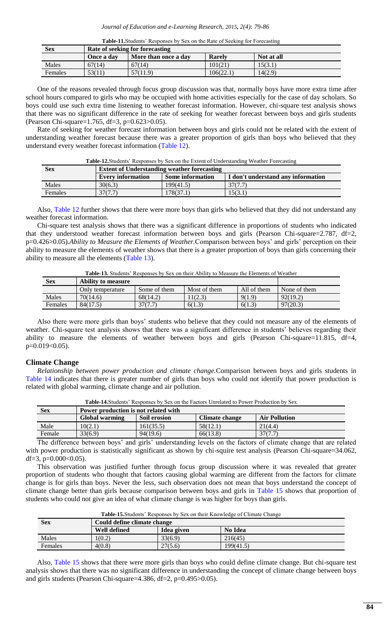<span id="page-5-1"></span>

| Table-11. Students' Responses by Sex on the Rate of Seeking for Forecasting |  |  |
|-----------------------------------------------------------------------------|--|--|
|                                                                             |  |  |

| <b>Sex</b>     | Rate of seeking for forecasting                                   |          |           |         |  |  |
|----------------|-------------------------------------------------------------------|----------|-----------|---------|--|--|
|                | More than once a day<br>Not at all<br><b>Rarely</b><br>Once a day |          |           |         |  |  |
| Males          | 67(14)                                                            | 67(14)   | 101(21)   | 15(3.1) |  |  |
| <b>Females</b> | 53(11)                                                            | 57(11.9) | 106(22.1) | 14(2.9) |  |  |

One of the reasons revealed through focus group discussion was that, normally boys have more extra time after school hours compared to girls who may be occupied with home activities especially for the case of day scholars. So boys could use such extra time listening to weather forecast information. However, chi-square test analysis shows that there was no significant difference in the rate of seeking for weather forecast between boys and girls students (Pearson Chi-square=1.765, df=3, p=0.623>0.05).

Rate of seeking for weather forecast information between boys and girls could not be related with the extent of understanding weather forecast because there was a greater proportion of girls than boys who believed that they understand every weather forecast information [\(Table 12\)](#page-5-2).

<span id="page-5-2"></span>**Table-12.**Students" Responses by Sex on the Extent of Understanding Weather Forecasting

| <b>Sex</b> | <b>Extent of Understanding weather forecasting</b>                                        |           |         |  |  |  |
|------------|-------------------------------------------------------------------------------------------|-----------|---------|--|--|--|
|            | <b>Every information</b><br><b>Some information</b><br>I don't understand any information |           |         |  |  |  |
| Males      | 30(6.3)                                                                                   | 199(41.5) | 37(7.7) |  |  |  |
| Females    | 37(7.7)                                                                                   | 178(37.1) | 15(3.1) |  |  |  |

Also, [Table 12](#page-5-2) further shows that there were more boys than girls who believed that they did not understand any weather forecast information.

Chi-square test analysis shows that there was a significant difference in proportions of students who indicated that they understood weather forecast information between boys and girls (Pearson Chi-square=2.787, df=2, p=0.426>0.05).*Ability to Measure the Elements of Weather.*Comparison between boys" and girls" perception on their ability to measure the elements of weather shows that there is a greater proportion of boys than girls concerning their ability to measure all the elements [\(Table 13\)](#page-5-0).

<span id="page-5-0"></span>**Table-13.** Students" Responses by Sex on their Ability to Measure the Elements of Weather

| <b>Sex</b> | <b>Ability to measure</b> |              |              |             |              |
|------------|---------------------------|--------------|--------------|-------------|--------------|
|            | Only temperature          | Some of them | Most of them | All of them | None of them |
| Males      | 70(14.6)                  | 68(14.2)     | (1(2.3))     | 9(1.9)      | 92(19.2)     |
| Females    | 84(17.5)                  | 37(7.7)      | 6(1.3)       | 6(1.3)      | 97(20.3)     |

Also there were more girls than boys" students who believe that they could not measure any of the elements of weather. Chi-square test analysis shows that there was a significant difference in students' believes regarding their ability to measure the elements of weather between boys and girls (Pearson Chi-square=11.815, df=4, p=0.019<0.05).

#### **Climate Change**

*Relationship between power production and climate change.*Comparison between boys and girls students in [Table 14](#page-5-3) indicates that there is greater number of girls than boys who could not identify that power production is related with global warming, climate change and air pollution.

| Sex    | Power production is not related with |              |                |                      |  |  |
|--------|--------------------------------------|--------------|----------------|----------------------|--|--|
|        | Global warming                       | Soil erosion | Climate change | <b>Air Pollution</b> |  |  |
| Male   | 10(2.1)                              | 161(35.5)    | 58(12.1)       | 21(4.4)              |  |  |
| Female | 33(6.9)                              | 94(19.6)     | 66(13.8)       | 37(7.7)              |  |  |

<span id="page-5-3"></span>**Table-14.**Students" Responses by Sex on the Factors Unrelated to Power Production by Sex

The difference between boys' and girls' understanding levels on the factors of climate change that are related with power production is statistically significant as shown by chi-squire test analysis (Pearson Chi-square=34.062, df=3,  $p=0.000<0.05$ ).

This observation was justified further through focus group discussion where it was revealed that greater proportion of students who thought that factors causing global warming are different from the factors for climate change is for girls than boys. Never the less, such observation does not mean that boys understand the concept of climate change better than girls because comparison between boys and girls in [Table 15](#page-5-4) shows that proportion of students who could not give an idea of what climate change is was higher for boys than girls.

<span id="page-5-4"></span>Table-15.Students' Responses by Sex on their Knowledge of Climate Change

| Sex     | Could define climate change |            |                |  |  |
|---------|-----------------------------|------------|----------------|--|--|
|         | <b>Well defined</b>         | Idea given | <b>No Idea</b> |  |  |
| Males   | 1(0.2)                      | 33(6.9)    | 216(45)        |  |  |
| Females | 4(0.8)                      | 27(5.6)    | 199(41.5)      |  |  |

Also, [Table 15](#page-5-4) shows that there were more girls than boys who could define climate change. But chi-square test analysis shows that there was no significant difference in understanding the concept of climate change between boys and girls students (Pearson Chi-square=4.386, df=2, p=0.495>0.05).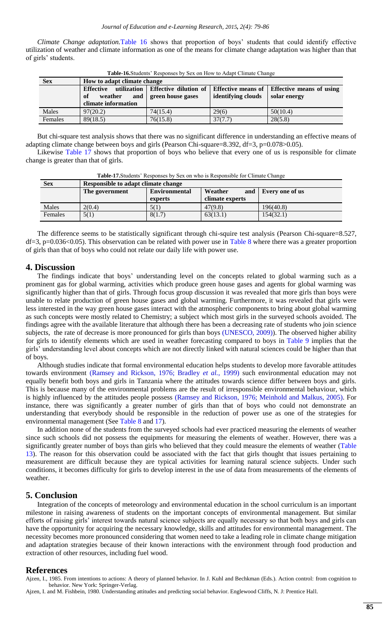*Climate Change adaptation.*[Table 16](#page-6-5) shows that proportion of boys" students that could identify effective utilization of weather and climate information as one of the means for climate change adaptation was higher than that of girls" students.

| <b>THEIR TOMORROWS INSPOSSED FOR ON TION TO TRIADE CHANGE CHANGE</b> |                                                                                   |                                                   |                    |                                                             |  |  |
|----------------------------------------------------------------------|-----------------------------------------------------------------------------------|---------------------------------------------------|--------------------|-------------------------------------------------------------|--|--|
| <b>Sex</b>                                                           | How to adapt climate change                                                       |                                                   |                    |                                                             |  |  |
|                                                                      | utilization<br><b>Effective</b><br>and  <br>weather<br>-of<br>climate information | <b>Effective dilution of</b><br>green house gases | identifying clouds | Effective means of Effective means of using<br>solar energy |  |  |
| Males                                                                | 97(20.2)                                                                          | 74(15.4)                                          | 29(6)              | 50(10.4)                                                    |  |  |
| Females                                                              | 89(18.5)                                                                          | 76(15.8)                                          | 37(7.7)            | 28(5.8)                                                     |  |  |

<span id="page-6-5"></span>**Table-16.**Students" Responses by Sex on How to Adapt Climate Change

But chi-square test analysis shows that there was no significant difference in understanding an effective means of adapting climate change between boys and girls (Pearson Chi-square=8.392, df=3, p=0.078>0.05).

Likewise [Table 17](#page-6-6) shows that proportion of boys who believe that every one of us is responsible for climate change is greater than that of girls.

| <b>Sex</b> | Responsible to adapt climate change |                                 |                                   |                 |  |  |
|------------|-------------------------------------|---------------------------------|-----------------------------------|-----------------|--|--|
|            | The government                      | <b>Environmental</b><br>experts | Weather<br>and<br>climate experts | Every one of us |  |  |
| Males      | 2(0.4)                              | 5(1)                            | 47(9.8)                           | 196(40.8)       |  |  |
| Females    | 5(1)                                | 8(1.7)                          | 63(13.1)                          | 154(32.1)       |  |  |

<span id="page-6-6"></span>**Table-17.**Students" Responses by Sex on who is Responsible for Climate Change

The difference seems to be statistically significant through chi-squire test analysis (Pearson Chi-square=8.527,  $df=3$ , p=0.036<0.05). This observation can be related with power use in [Table 8](#page-4-2) where there was a greater proportion of girls than that of boys who could not relate our daily life with power use.

# <span id="page-6-0"></span>**4. Discussion**

 $\overline{\phantom{a}}$ 

The findings indicate that boys" understanding level on the concepts related to global warming such as a prominent gas for global warming, activities which produce green house gases and agents for global warming was significantly higher than that of girls. Through focus group discussion it was revealed that more girls than boys were unable to relate production of green house gases and global warming. Furthermore, it was revealed that girls were less interested in the way green house gases interact with the atmospheric components to bring about global warming as such concepts were mostly related to Chemistry; a subject which most girls in the surveyed schools avoided. The findings agree with the available literature that although there has been a decreasing rate of students who join science subjects, the rate of decrease is more pronounced for girls than boys [\(UNESCO, 2009\)](#page-7-7)). The observed higher ability for girls to identify elements which are used in weather forecasting compared to boys in [Table 9](#page-4-3) implies that the girls" understanding level about concepts which are not directly linked with natural sciences could be higher than that of boys.

Although studies indicate that formal environmental education helps students to develop more favorable attitudes towards environment [\(Ramsey and Rickson, 1976;](#page-7-8) [Bradley](#page-7-15) *et al.*, 1999) such environmental education may not equally benefit both boys and girls in Tanzania where the attitudes towards science differ between boys and girls. This is because many of the environmental problems are the result of irresponsible environmental behaviour, which is highly influenced by the attitudes people possess [\(Ramsey and Rickson, 1976;](#page-7-8) [Meinhold and Malkus, 2005\)](#page-7-9). For instance, there was significantly a greater number of girls than that of boys who could not demonstrate an understanding that everybody should be responsible in the reduction of power use as one of the strategies for environmental management (See [Table 8](#page-4-2) and [17\)](#page-6-6).

In addition none of the students from the surveyed schools had ever practiced measuring the elements of weather since such schools did not possess the equipments for measuring the elements of weather. However, there was a significantly greater number of boys than girls who believed that they could measure the elements of weather [\(Table](#page-5-0)  [13\)](#page-5-0). The reason for this observation could be associated with the fact that girls thought that issues pertaining to measurement are difficult because they are typical activities for learning natural science subjects. Under such conditions, it becomes difficulty for girls to develop interest in the use of data from measurements of the elements of weather.

# <span id="page-6-1"></span>**5. Conclusion**

Integration of the concepts of meteorology and environmental education in the school curriculum is an important milestone in raising awareness of students on the important concepts of environmental management. But similar efforts of raising girls" interest towards natural science subjects are equally necessary so that both boys and girls can have the opportunity for acquiring the necessary knowledge, skills and attitudes for environmental management. The necessity becomes more pronounced considering that women need to take a leading role in climate change mitigation and adaptation strategies because of their known interactions with the environment through food production and extraction of other resources, including fuel wood.

# <span id="page-6-2"></span>**References**

<span id="page-6-4"></span>Ajzen, I., 1985. From intentions to actions: A theory of planned behavior. In J. Kuhl and Bechkman (Eds.). Action control: from cognition to behavior. New York: Springer-Verlag.

<span id="page-6-3"></span>Ajzen, I. and M. Fishbein, 1980. Understanding attitudes and predicting social behavior. Englewood Cliffs, N. J: Prentice Hall.